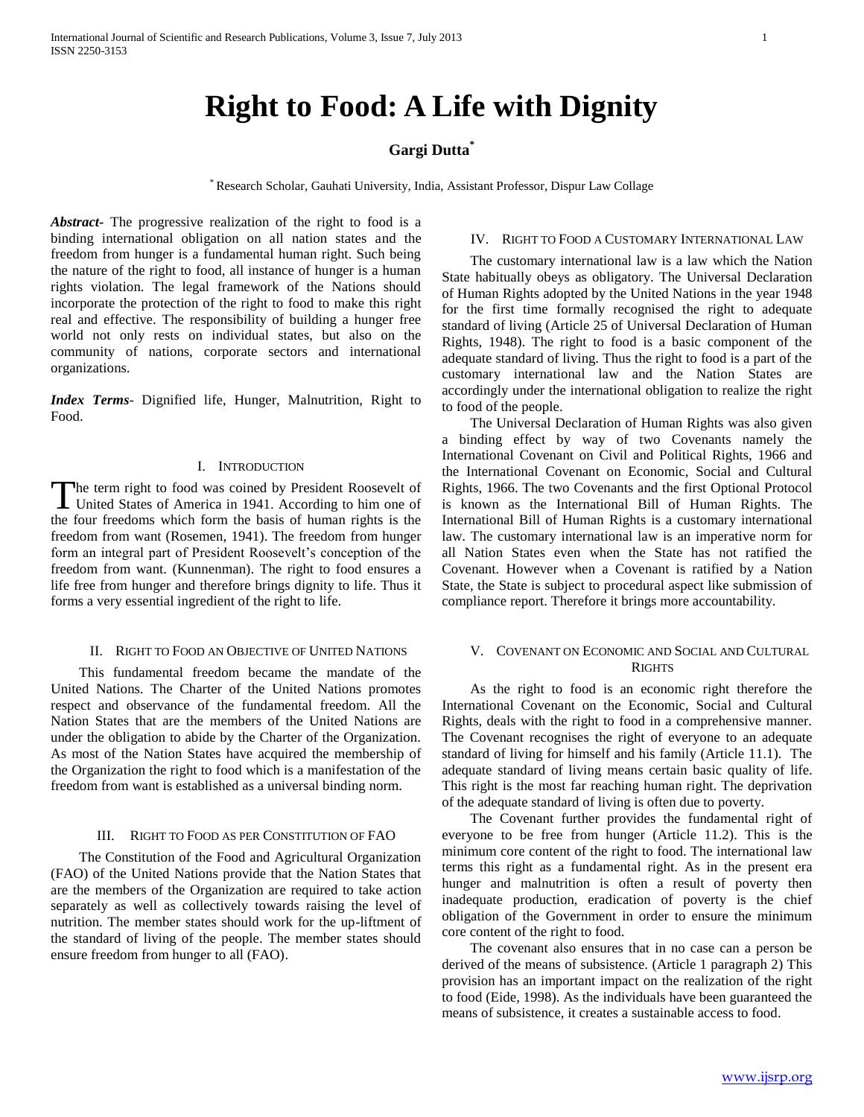# **Right to Food: A Life with Dignity**

# **Gargi Dutta\***

\* Research Scholar, Gauhati University, India, Assistant Professor, Dispur Law Collage

*Abstract***-** The progressive realization of the right to food is a binding international obligation on all nation states and the freedom from hunger is a fundamental human right. Such being the nature of the right to food, all instance of hunger is a human rights violation. The legal framework of the Nations should incorporate the protection of the right to food to make this right real and effective. The responsibility of building a hunger free world not only rests on individual states, but also on the community of nations, corporate sectors and international organizations.

*Index Terms*- Dignified life, Hunger, Malnutrition, Right to Food.

## I. INTRODUCTION

The term right to food was coined by President Roosevelt of United States of America in 1941. According to him one of United States of America in 1941. According to him one of the four freedoms which form the basis of human rights is the freedom from want (Rosemen, 1941). The freedom from hunger form an integral part of President Roosevelt's conception of the freedom from want. (Kunnenman). The right to food ensures a life free from hunger and therefore brings dignity to life. Thus it forms a very essential ingredient of the right to life.

#### II. RIGHT TO FOOD AN OBJECTIVE OF UNITED NATIONS

 This fundamental freedom became the mandate of the United Nations. The Charter of the United Nations promotes respect and observance of the fundamental freedom. All the Nation States that are the members of the United Nations are under the obligation to abide by the Charter of the Organization. As most of the Nation States have acquired the membership of the Organization the right to food which is a manifestation of the freedom from want is established as a universal binding norm.

### III. RIGHT TO FOOD AS PER CONSTITUTION OF FAO

 The Constitution of the Food and Agricultural Organization (FAO) of the United Nations provide that the Nation States that are the members of the Organization are required to take action separately as well as collectively towards raising the level of nutrition. The member states should work for the up-liftment of the standard of living of the people. The member states should ensure freedom from hunger to all (FAO).

## IV. RIGHT TO FOOD A CUSTOMARY INTERNATIONAL LAW

 The customary international law is a law which the Nation State habitually obeys as obligatory. The Universal Declaration of Human Rights adopted by the United Nations in the year 1948 for the first time formally recognised the right to adequate standard of living (Article 25 of Universal Declaration of Human Rights, 1948). The right to food is a basic component of the adequate standard of living. Thus the right to food is a part of the customary international law and the Nation States are accordingly under the international obligation to realize the right to food of the people.

 The Universal Declaration of Human Rights was also given a binding effect by way of two Covenants namely the International Covenant on Civil and Political Rights, 1966 and the International Covenant on Economic, Social and Cultural Rights, 1966. The two Covenants and the first Optional Protocol is known as the International Bill of Human Rights. The International Bill of Human Rights is a customary international law. The customary international law is an imperative norm for all Nation States even when the State has not ratified the Covenant. However when a Covenant is ratified by a Nation State, the State is subject to procedural aspect like submission of compliance report. Therefore it brings more accountability.

## V. COVENANT ON ECONOMIC AND SOCIAL AND CULTURAL **RIGHTS**

 As the right to food is an economic right therefore the International Covenant on the Economic, Social and Cultural Rights, deals with the right to food in a comprehensive manner. The Covenant recognises the right of everyone to an adequate standard of living for himself and his family (Article 11.1). The adequate standard of living means certain basic quality of life. This right is the most far reaching human right. The deprivation of the adequate standard of living is often due to poverty.

 The Covenant further provides the fundamental right of everyone to be free from hunger (Article 11.2). This is the minimum core content of the right to food. The international law terms this right as a fundamental right. As in the present era hunger and malnutrition is often a result of poverty then inadequate production, eradication of poverty is the chief obligation of the Government in order to ensure the minimum core content of the right to food.

 The covenant also ensures that in no case can a person be derived of the means of subsistence. (Article 1 paragraph 2) This provision has an important impact on the realization of the right to food (Eide, 1998). As the individuals have been guaranteed the means of subsistence, it creates a sustainable access to food.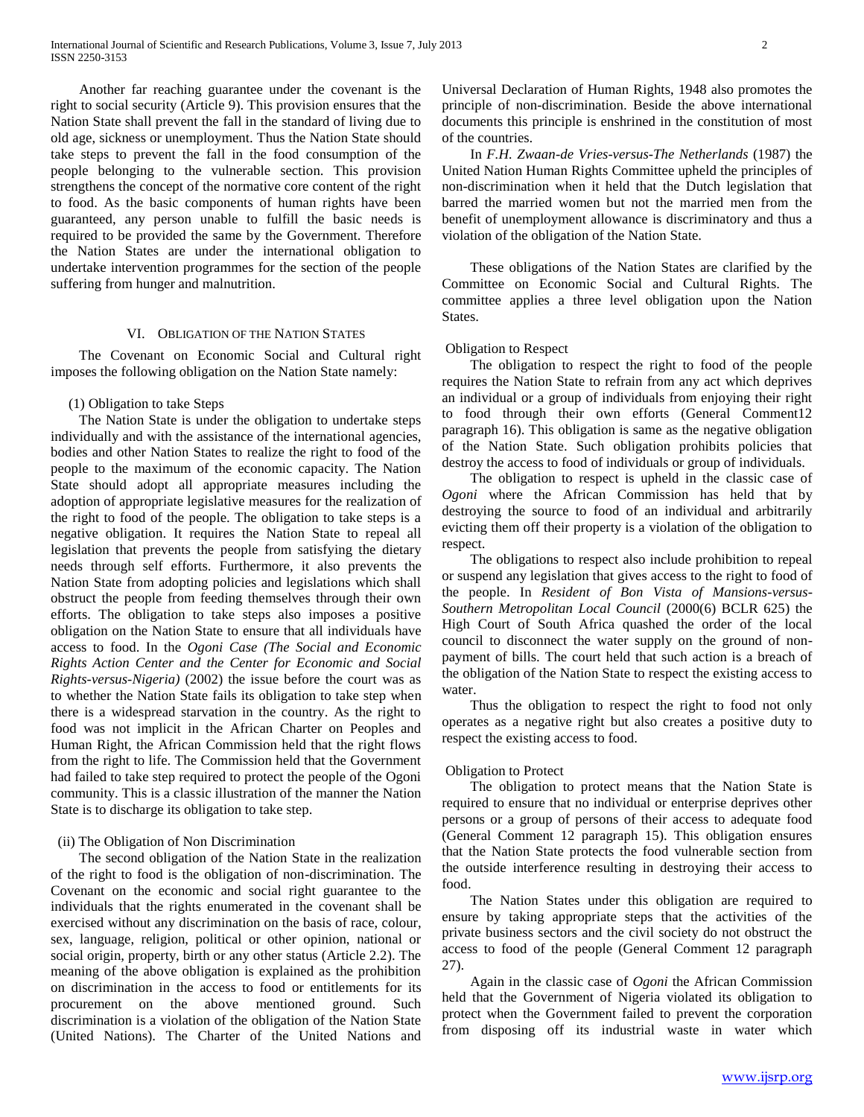Another far reaching guarantee under the covenant is the right to social security (Article 9). This provision ensures that the Nation State shall prevent the fall in the standard of living due to old age, sickness or unemployment. Thus the Nation State should take steps to prevent the fall in the food consumption of the people belonging to the vulnerable section. This provision strengthens the concept of the normative core content of the right to food. As the basic components of human rights have been guaranteed, any person unable to fulfill the basic needs is required to be provided the same by the Government. Therefore the Nation States are under the international obligation to undertake intervention programmes for the section of the people suffering from hunger and malnutrition.

#### VI. OBLIGATION OF THE NATION STATES

 The Covenant on Economic Social and Cultural right imposes the following obligation on the Nation State namely:

#### (1) Obligation to take Steps

 The Nation State is under the obligation to undertake steps individually and with the assistance of the international agencies, bodies and other Nation States to realize the right to food of the people to the maximum of the economic capacity. The Nation State should adopt all appropriate measures including the adoption of appropriate legislative measures for the realization of the right to food of the people. The obligation to take steps is a negative obligation. It requires the Nation State to repeal all legislation that prevents the people from satisfying the dietary needs through self efforts. Furthermore, it also prevents the Nation State from adopting policies and legislations which shall obstruct the people from feeding themselves through their own efforts. The obligation to take steps also imposes a positive obligation on the Nation State to ensure that all individuals have access to food. In the *Ogoni Case (The Social and Economic Rights Action Center and the Center for Economic and Social Rights-versus-Nigeria)* (2002) the issue before the court was as to whether the Nation State fails its obligation to take step when there is a widespread starvation in the country. As the right to food was not implicit in the African Charter on Peoples and Human Right, the African Commission held that the right flows from the right to life. The Commission held that the Government had failed to take step required to protect the people of the Ogoni community. This is a classic illustration of the manner the Nation State is to discharge its obligation to take step.

#### (ii) The Obligation of Non Discrimination

 The second obligation of the Nation State in the realization of the right to food is the obligation of non-discrimination. The Covenant on the economic and social right guarantee to the individuals that the rights enumerated in the covenant shall be exercised without any discrimination on the basis of race, colour, sex, language, religion, political or other opinion, national or social origin, property, birth or any other status (Article 2.2). The meaning of the above obligation is explained as the prohibition on discrimination in the access to food or entitlements for its procurement on the above mentioned ground. Such discrimination is a violation of the obligation of the Nation State (United Nations). The Charter of the United Nations and

Universal Declaration of Human Rights, 1948 also promotes the principle of non-discrimination. Beside the above international documents this principle is enshrined in the constitution of most of the countries.

 In *F.H. Zwaan-de Vries-versus-The Netherlands* (1987) the United Nation Human Rights Committee upheld the principles of non-discrimination when it held that the Dutch legislation that barred the married women but not the married men from the benefit of unemployment allowance is discriminatory and thus a violation of the obligation of the Nation State.

 These obligations of the Nation States are clarified by the Committee on Economic Social and Cultural Rights. The committee applies a three level obligation upon the Nation States.

### Obligation to Respect

 The obligation to respect the right to food of the people requires the Nation State to refrain from any act which deprives an individual or a group of individuals from enjoying their right to food through their own efforts (General Comment12 paragraph 16). This obligation is same as the negative obligation of the Nation State. Such obligation prohibits policies that destroy the access to food of individuals or group of individuals.

 The obligation to respect is upheld in the classic case of *Ogoni* where the African Commission has held that by destroying the source to food of an individual and arbitrarily evicting them off their property is a violation of the obligation to respect.

 The obligations to respect also include prohibition to repeal or suspend any legislation that gives access to the right to food of the people. In *Resident of Bon Vista of Mansions-versus-Southern Metropolitan Local Council* (2000(6) BCLR 625) the High Court of South Africa quashed the order of the local council to disconnect the water supply on the ground of nonpayment of bills. The court held that such action is a breach of the obligation of the Nation State to respect the existing access to water.

 Thus the obligation to respect the right to food not only operates as a negative right but also creates a positive duty to respect the existing access to food.

#### Obligation to Protect

 The obligation to protect means that the Nation State is required to ensure that no individual or enterprise deprives other persons or a group of persons of their access to adequate food (General Comment 12 paragraph 15). This obligation ensures that the Nation State protects the food vulnerable section from the outside interference resulting in destroying their access to food.

 The Nation States under this obligation are required to ensure by taking appropriate steps that the activities of the private business sectors and the civil society do not obstruct the access to food of the people (General Comment 12 paragraph 27).

 Again in the classic case of *Ogoni* the African Commission held that the Government of Nigeria violated its obligation to protect when the Government failed to prevent the corporation from disposing off its industrial waste in water which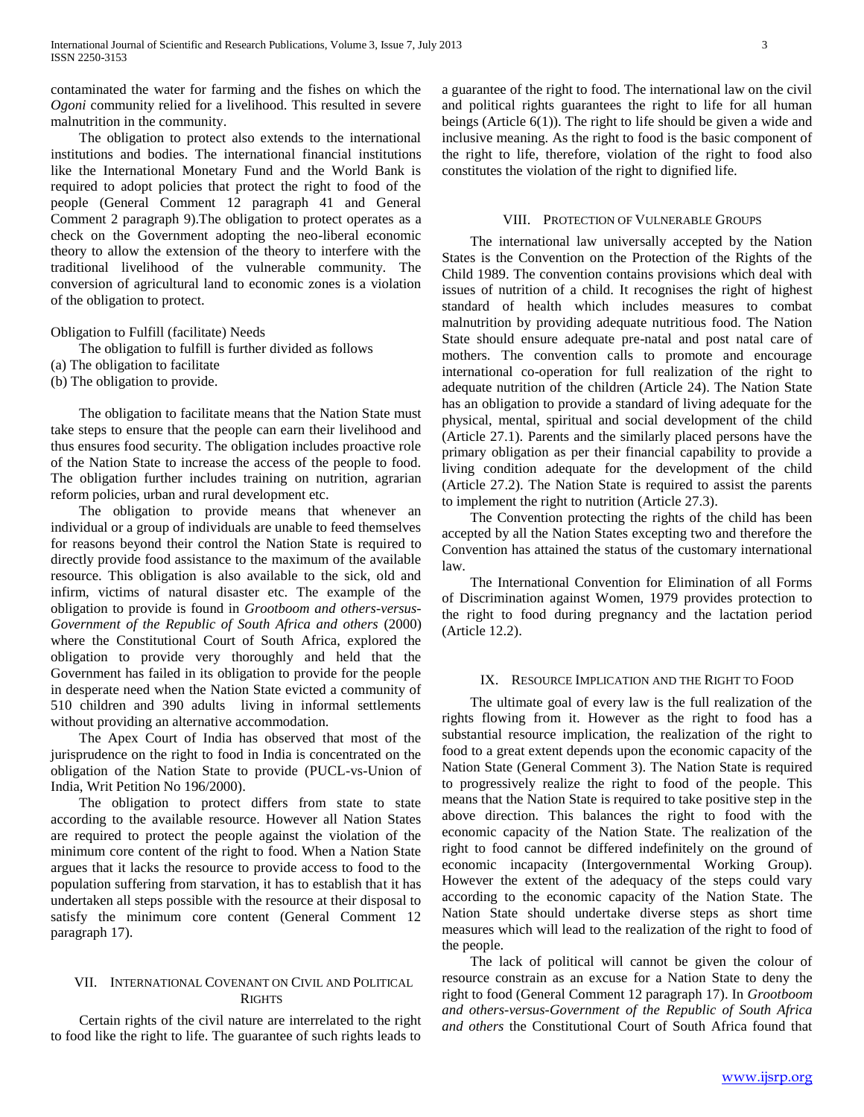contaminated the water for farming and the fishes on which the *Ogoni* community relied for a livelihood. This resulted in severe malnutrition in the community.

 The obligation to protect also extends to the international institutions and bodies. The international financial institutions like the International Monetary Fund and the World Bank is required to adopt policies that protect the right to food of the people (General Comment 12 paragraph 41 and General Comment 2 paragraph 9).The obligation to protect operates as a check on the Government adopting the neo-liberal economic theory to allow the extension of the theory to interfere with the traditional livelihood of the vulnerable community. The conversion of agricultural land to economic zones is a violation of the obligation to protect.

## Obligation to Fulfill (facilitate) Needs

The obligation to fulfill is further divided as follows

- (a) The obligation to facilitate
- (b) The obligation to provide.

 The obligation to facilitate means that the Nation State must take steps to ensure that the people can earn their livelihood and thus ensures food security. The obligation includes proactive role of the Nation State to increase the access of the people to food. The obligation further includes training on nutrition, agrarian reform policies, urban and rural development etc.

 The obligation to provide means that whenever an individual or a group of individuals are unable to feed themselves for reasons beyond their control the Nation State is required to directly provide food assistance to the maximum of the available resource. This obligation is also available to the sick, old and infirm, victims of natural disaster etc. The example of the obligation to provide is found in *Grootboom and others-versus-Government of the Republic of South Africa and others* (2000) where the Constitutional Court of South Africa, explored the obligation to provide very thoroughly and held that the Government has failed in its obligation to provide for the people in desperate need when the Nation State evicted a community of 510 children and 390 adults living in informal settlements without providing an alternative accommodation.

 The Apex Court of India has observed that most of the jurisprudence on the right to food in India is concentrated on the obligation of the Nation State to provide (PUCL-vs-Union of India, Writ Petition No 196/2000).

 The obligation to protect differs from state to state according to the available resource. However all Nation States are required to protect the people against the violation of the minimum core content of the right to food. When a Nation State argues that it lacks the resource to provide access to food to the population suffering from starvation, it has to establish that it has undertaken all steps possible with the resource at their disposal to satisfy the minimum core content (General Comment 12 paragraph 17).

## VII. INTERNATIONAL COVENANT ON CIVIL AND POLITICAL **RIGHTS**

 Certain rights of the civil nature are interrelated to the right to food like the right to life. The guarantee of such rights leads to

a guarantee of the right to food. The international law on the civil and political rights guarantees the right to life for all human beings (Article 6(1)). The right to life should be given a wide and inclusive meaning. As the right to food is the basic component of the right to life, therefore, violation of the right to food also constitutes the violation of the right to dignified life.

## VIII. PROTECTION OF VULNERABLE GROUPS

 The international law universally accepted by the Nation States is the Convention on the Protection of the Rights of the Child 1989. The convention contains provisions which deal with issues of nutrition of a child. It recognises the right of highest standard of health which includes measures to combat malnutrition by providing adequate nutritious food. The Nation State should ensure adequate pre-natal and post natal care of mothers. The convention calls to promote and encourage international co-operation for full realization of the right to adequate nutrition of the children (Article 24). The Nation State has an obligation to provide a standard of living adequate for the physical, mental, spiritual and social development of the child (Article 27.1). Parents and the similarly placed persons have the primary obligation as per their financial capability to provide a living condition adequate for the development of the child (Article 27.2). The Nation State is required to assist the parents to implement the right to nutrition (Article 27.3).

 The Convention protecting the rights of the child has been accepted by all the Nation States excepting two and therefore the Convention has attained the status of the customary international law.

 The International Convention for Elimination of all Forms of Discrimination against Women, 1979 provides protection to the right to food during pregnancy and the lactation period (Article 12.2).

## IX. RESOURCE IMPLICATION AND THE RIGHT TO FOOD

 The ultimate goal of every law is the full realization of the rights flowing from it. However as the right to food has a substantial resource implication, the realization of the right to food to a great extent depends upon the economic capacity of the Nation State (General Comment 3). The Nation State is required to progressively realize the right to food of the people. This means that the Nation State is required to take positive step in the above direction. This balances the right to food with the economic capacity of the Nation State. The realization of the right to food cannot be differed indefinitely on the ground of economic incapacity (Intergovernmental Working Group). However the extent of the adequacy of the steps could vary according to the economic capacity of the Nation State. The Nation State should undertake diverse steps as short time measures which will lead to the realization of the right to food of the people.

 The lack of political will cannot be given the colour of resource constrain as an excuse for a Nation State to deny the right to food (General Comment 12 paragraph 17). In *Grootboom and others-versus-Government of the Republic of South Africa and others* the Constitutional Court of South Africa found that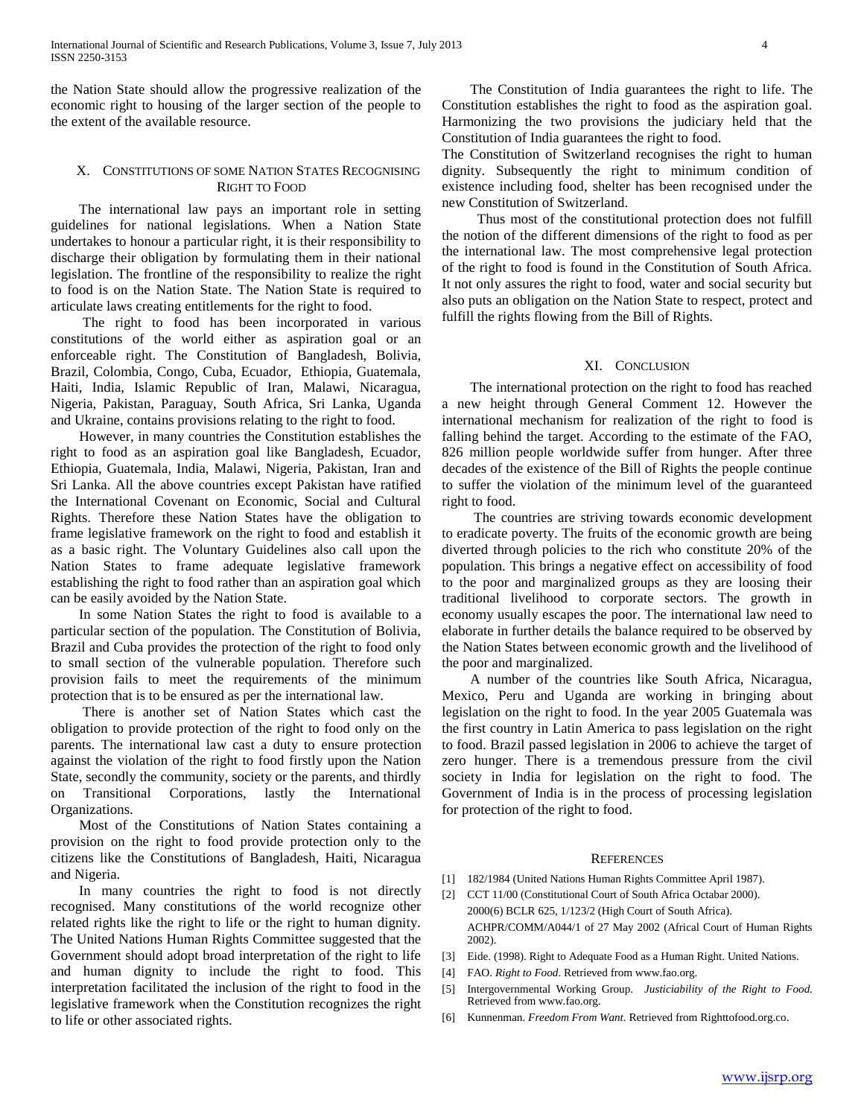the Nation State should allow the progressive realization of the economic right to housing of the larger section of the people to the extent of the available resource.

## X. CONSTITUTIONS OF SOME NATION STATES RECOGNISING RIGHT TO FOOD

 The international law pays an important role in setting guidelines for national legislations. When a Nation State undertakes to honour a particular right, it is their responsibility to discharge their obligation by formulating them in their national legislation. The frontline of the responsibility to realize the right to food is on the Nation State. The Nation State is required to articulate laws creating entitlements for the right to food.

 The right to food has been incorporated in various constitutions of the world either as aspiration goal or an enforceable right. The Constitution of Bangladesh, Bolivia, Brazil, Colombia, Congo, Cuba, Ecuador, Ethiopia, Guatemala, Haiti, India, Islamic Republic of Iran, Malawi, Nicaragua, Nigeria, Pakistan, Paraguay, South Africa, Sri Lanka, Uganda and Ukraine, contains provisions relating to the right to food.

 However, in many countries the Constitution establishes the right to food as an aspiration goal like Bangladesh, Ecuador, Ethiopia, Guatemala, India, Malawi, Nigeria, Pakistan, Iran and Sri Lanka. All the above countries except Pakistan have ratified the International Covenant on Economic, Social and Cultural Rights. Therefore these Nation States have the obligation to frame legislative framework on the right to food and establish it as a basic right. The Voluntary Guidelines also call upon the Nation States to frame adequate legislative framework establishing the right to food rather than an aspiration goal which can be easily avoided by the Nation State.

 In some Nation States the right to food is available to a particular section of the population. The Constitution of Bolivia, Brazil and Cuba provides the protection of the right to food only to small section of the vulnerable population. Therefore such provision fails to meet the requirements of the minimum protection that is to be ensured as per the international law.

 There is another set of Nation States which cast the obligation to provide protection of the right to food only on the parents. The international law cast a duty to ensure protection against the violation of the right to food firstly upon the Nation State, secondly the community, society or the parents, and thirdly on Transitional Corporations, lastly the International Organizations.

 Most of the Constitutions of Nation States containing a provision on the right to food provide protection only to the citizens like the Constitutions of Bangladesh, Haiti, Nicaragua and Nigeria.

 In many countries the right to food is not directly recognised. Many constitutions of the world recognize other related rights like the right to life or the right to human dignity. The United Nations Human Rights Committee suggested that the Government should adopt broad interpretation of the right to life and human dignity to include the right to food. This interpretation facilitated the inclusion of the right to food in the legislative framework when the Constitution recognizes the right to life or other associated rights.

 The Constitution of India guarantees the right to life. The Constitution establishes the right to food as the aspiration goal. Harmonizing the two provisions the judiciary held that the Constitution of India guarantees the right to food.

The Constitution of Switzerland recognises the right to human dignity. Subsequently the right to minimum condition of existence including food, shelter has been recognised under the new Constitution of Switzerland.

 Thus most of the constitutional protection does not fulfill the notion of the different dimensions of the right to food as per the international law. The most comprehensive legal protection of the right to food is found in the Constitution of South Africa. It not only assures the right to food, water and social security but also puts an obligation on the Nation State to respect, protect and fulfill the rights flowing from the Bill of Rights.

### XI. CONCLUSION

 The international protection on the right to food has reached a new height through General Comment 12. However the international mechanism for realization of the right to food is falling behind the target. According to the estimate of the FAO, 826 million people worldwide suffer from hunger. After three decades of the existence of the Bill of Rights the people continue to suffer the violation of the minimum level of the guaranteed right to food.

 The countries are striving towards economic development to eradicate poverty. The fruits of the economic growth are being diverted through policies to the rich who constitute 20% of the population. This brings a negative effect on accessibility of food to the poor and marginalized groups as they are loosing their traditional livelihood to corporate sectors. The growth in economy usually escapes the poor. The international law need to elaborate in further details the balance required to be observed by the Nation States between economic growth and the livelihood of the poor and marginalized.

 A number of the countries like South Africa, Nicaragua, Mexico, Peru and Uganda are working in bringing about legislation on the right to food. In the year 2005 Guatemala was the first country in Latin America to pass legislation on the right to food. Brazil passed legislation in 2006 to achieve the target of zero hunger. There is a tremendous pressure from the civil society in India for legislation on the right to food. The Government of India is in the process of processing legislation for protection of the right to food.

#### **REFERENCES**

- [1] 182/1984 (United Nations Human Rights Committee April 1987).
- [2] CCT 11/00 (Constitutional Court of South Africa Octabar 2000). 2000(6) BCLR 625, 1/123/2 (High Court of South Africa). ACHPR/COMM/A044/1 of 27 May 2002 (Africal Court of Human Rights 2002).
- [3] Eide. (1998). Right to Adequate Food as a Human Right. United Nations.
- [4] FAO. *Right to Food*. Retrieved from www.fao.org.
- [5] Intergovernmental Working Group. *Justiciability of the Right to Food.* Retrieved from www.fao.org.
- [6] Kunnenman. *Freedom From Want.* Retrieved from Righttofood.org.co.